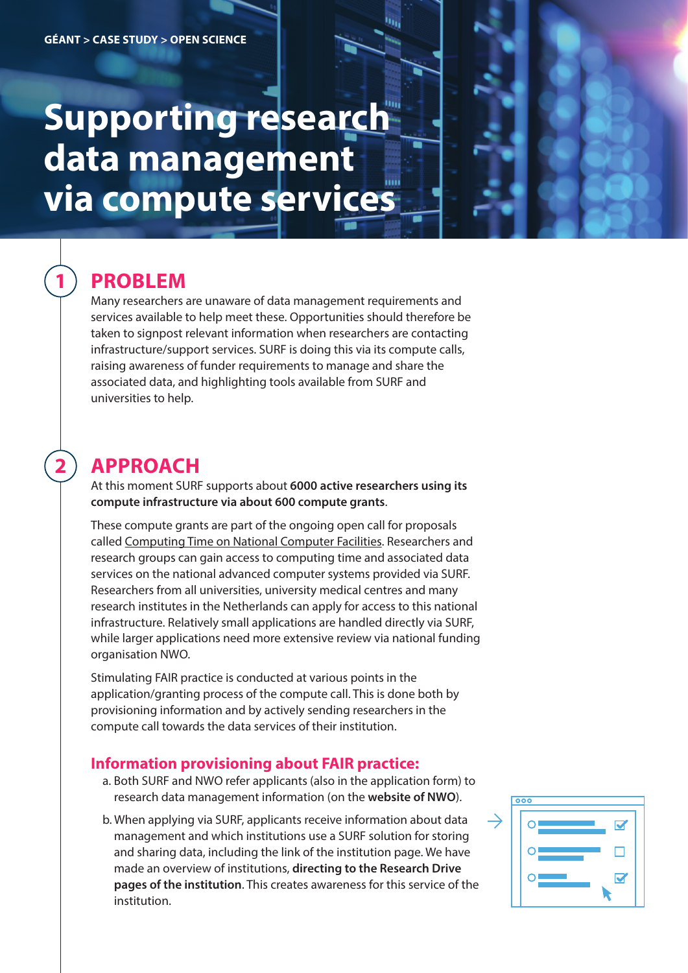# **Supporting research data management via compute services**

## **PROBLEM**

**1**

**2**

Many researchers are unaware of data management requirements and services available to help meet these. Opportunities should therefore be taken to signpost relevant information when researchers are contacting infrastructure/support services. SURF is doing this via its compute calls, raising awareness of funder requirements to manage and share the associated data, and highlighting tools available from SURF and universities to help.

## **APPROACH**

At this moment SURF supports about **6000 active researchers using its compute infrastructure via about 600 compute grants**.

These compute grants are part of the ongoing open call for proposals called [Computing Time on National Computer Facilities.](https://www.nwo.nl/en/calls/computing-time-national-computer-facilities-2021) Researchers and research groups can gain access to computing time and associated data services on the national advanced computer systems provided via SURF. Researchers from all universities, university medical centres and many research institutes in the Netherlands can apply for access to this national infrastructure. Relatively small applications are handled directly via SURF, while larger applications need more extensive review via national funding organisation NWO.

Stimulating FAIR practice is conducted at various points in the application/granting process of the compute call. This is done both by provisioning information and by actively sending researchers in the compute call towards the data services of their institution.

#### **Information provisioning about FAIR practice:**

- a. Both SURF and NWO refer applicants (also in the application form) to research data management information (on the **website of NWO**).
- b. When applying via SURF, applicants receive information about data management and which institutions use a SURF solution for storing and sharing data, including the link of the institution page. We have made an overview of institutions, **directing to the Research Drive pages of the institution**. This creates awareness for this service of the institution.

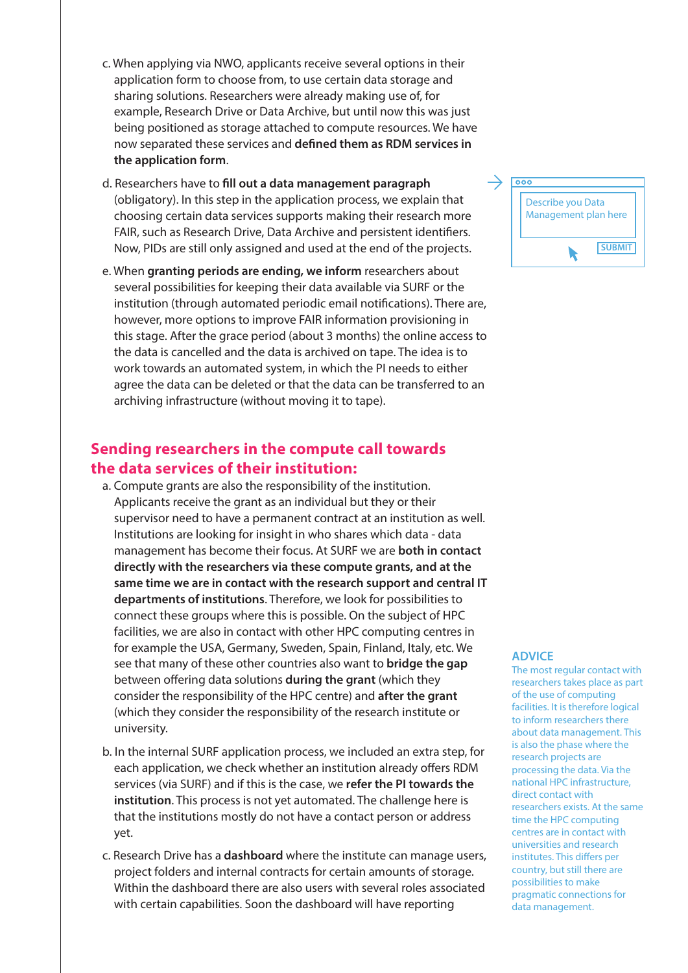- c. When applying via NWO, applicants receive several options in their application form to choose from, to use certain data storage and sharing solutions. Researchers were already making use of, for example, Research Drive or Data Archive, but until now this was just being positioned as storage attached to compute resources. We have now separated these services and defined them as RDM services in **the application form**.
- d. Researchers have to **ll out a data management paragraph** (obligatory). In this step in the application process, we explain that choosing certain data services supports making their research more FAIR, such as Research Drive, Data Archive and persistent identifiers. Now, PIDs are still only assigned and used at the end of the projects.
- e. When **granting periods are ending, we inform** researchers about several possibilities for keeping their data available via SURF or the institution (through automated periodic email notifications). There are, however, more options to improve FAIR information provisioning in this stage. After the grace period (about 3 months) the online access to the data is cancelled and the data is archived on tape. The idea is to work towards an automated system, in which the PI needs to either agree the data can be deleted or that the data can be transferred to an archiving infrastructure (without moving it to tape).

#### **Sending researchers in the compute call towards the data services of their institution:**

- a. Compute grants are also the responsibility of the institution. Applicants receive the grant as an individual but they or their supervisor need to have a permanent contract at an institution as well. Institutions are looking for insight in who shares which data - data management has become their focus. At SURF we are **both in contact directly with the researchers via these compute grants, and at the same time we are in contact with the research support and central IT departments of institutions**. Therefore, we look for possibilities to connect these groups where this is possible. On the subject of HPC facilities, we are also in contact with other HPC computing centres in for example the USA, Germany, Sweden, Spain, Finland, Italy, etc. We see that many of these other countries also want to **bridge the gap** between offering data solutions **during the grant** (which they consider the responsibility of the HPC centre) and **after the grant** (which they consider the responsibility of the research institute or university.
- b. In the internal SURF application process, we included an extra step, for each application, we check whether an institution already offers RDM services (via SURF) and if this is the case, we **refer the PI towards the institution**. This process is not yet automated. The challenge here is that the institutions mostly do not have a contact person or address yet.
- c. Research Drive has a **dashboard** where the institute can manage users, project folders and internal contracts for certain amounts of storage. Within the dashboard there are also users with several roles associated with certain capabilities. Soon the dashboard will have reporting



#### **ADVICE**

The most regular contact with researchers takes place as part of the use of computing facilities. It is therefore logical to inform researchers there about data management. This is also the phase where the research projects are processing the data. Via the national HPC infrastructure, direct contact with researchers exists. At the same time the HPC computing centres are in contact with universities and research institutes. This differs per country, but still there are possibilities to make pragmatic connections for data management.